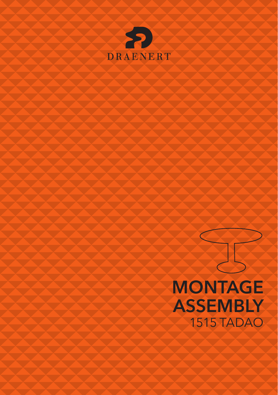

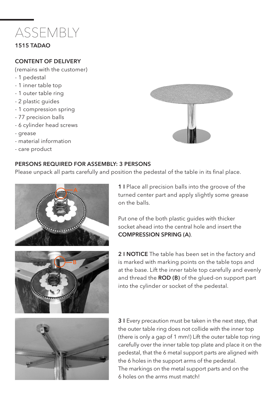

## 1515 TADAO

#### CONTENT OF DELIVERY

(remains with the customer)

- 1 pedestal
- 1 inner table top
- 1 outer table ring
- 2 plastic guides
- 1 compression spring
- 77 precision balls
- 6 cylinder head screws
- grease
- material information
- care product

### PERSONS REQUIRED FOR ASSEMBLY: 3 PERSONS



Please unpack all parts carefully and position the pedestal of the table in its final place.



1 I Place all precision balls into the groove of the turned center part and apply slightly some grease on the balls.

Put one of the both plastic guides with thicker socket ahead into the central hole and insert the COMPRESSION SPRING (A).

2 I NOTICE The table has been set in the factory and is marked with marking points on the table tops and at the base. Lift the inner table top carefully and evenly and thread the ROD (B) of the glued-on support part into the cylinder or socket of the pedestal.



**3 I** Every precaution must be taken in the next step, that the outer table ring does not collide with the inner top (there is only a gap of 1 mm!) Lift the outer table top ring carefully over the inner table top plate and place it on the pedestal, that the 6 metal support parts are aligned with the 6 holes in the support arms of the pedestal. The markings on the metal support parts and on the 6 holes on the arms must match!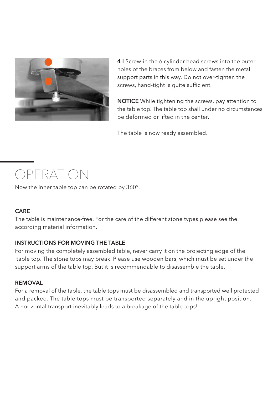

4 I Screw-in the 6 cylinder head screws into the outer holes of the braces from below and fasten the metal support parts in this way. Do not over-tighten the screws, hand-tight is quite sufficient.

NOTICE While tightening the screws, pay attention to the table top. The table top shall under no circumstances be deformed or lifted in the center.

The table is now ready assembled.

# OPERATION

Now the inner table top can be rotated by 360°.

# CARE

The table is maintenance-free. For the care of the different stone types please see the according material information.

# INSTRUCTIONS FOR MOVING THE TABLE

For moving the completely assembled table, never carry it on the projecting edge of the table top. The stone tops may break. Please use wooden bars, which must be set under the support arms of the table top. But it is recommendable to disassemble the table.

### **REMOVAL**

For a removal of the table, the table tops must be disassembled and transported well protected and packed. The table tops must be transported separately and in the upright position. A horizontal transport inevitably leads to a breakage of the table tops!